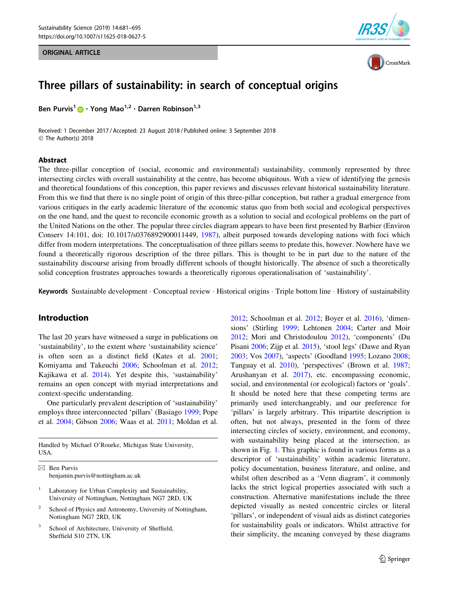#### ORIGINAL ARTICLE





# Three pillars of sustainability: in search of conceptual origins

Ben Purvis<sup>[1](http://orcid.org/0000-0001-8883-5472)</sup> • Yong Mao<sup>1,2</sup> · Darren Robinson<sup>1,3</sup>

Received: 1 December 2017 / Accepted: 23 August 2018 / Published online: 3 September 2018 © The Author(s) 2018

#### Abstract

The three-pillar conception of (social, economic and environmental) sustainability, commonly represented by three intersecting circles with overall sustainability at the centre, has become ubiquitous. With a view of identifying the genesis and theoretical foundations of this conception, this paper reviews and discusses relevant historical sustainability literature. From this we find that there is no single point of origin of this three-pillar conception, but rather a gradual emergence from various critiques in the early academic literature of the economic status quo from both social and ecological perspectives on the one hand, and the quest to reconcile economic growth as a solution to social and ecological problems on the part of the United Nations on the other. The popular three circles diagram appears to have been first presented by Barbier (Environ Conserv 14:101, doi: 10.1017/s0376892900011449, [1987\)](#page-11-0), albeit purposed towards developing nations with foci which differ from modern interpretations. The conceptualisation of three pillars seems to predate this, however. Nowhere have we found a theoretically rigorous description of the three pillars. This is thought to be in part due to the nature of the sustainability discourse arising from broadly different schools of thought historically. The absence of such a theoretically solid conception frustrates approaches towards a theoretically rigorous operationalisation of 'sustainability'.

Keywords Sustainable development · Conceptual review · Historical origins · Triple bottom line · History of sustainability

# Introduction

The last 20 years have witnessed a surge in publications on 'sustainability', to the extent where 'sustainability science' is often seen as a distinct field (Kates et al. [2001](#page-13-0); Komiyama and Takeuchi [2006;](#page-13-0) Schoolman et al. [2012](#page-13-0); Kajikawa et al. [2014](#page-13-0)). Yet despite this, 'sustainability' remains an open concept with myriad interpretations and context-specific understanding.

One particularly prevalent description of 'sustainability' employs three interconnected 'pillars' (Basiago [1999;](#page-11-0) Pope et al. [2004;](#page-13-0) Gibson [2006;](#page-12-0) Waas et al. [2011](#page-14-0); Moldan et al.

Handled by Michael O'Rourke, Michigan State University, USA.

- <sup>1</sup> Laboratory for Urban Complexity and Sustainability, University of Nottingham, Nottingham NG7 2RD, UK
- <sup>2</sup> School of Physics and Astronomy, University of Nottingham, Nottingham NG7 2RD, UK
- <sup>3</sup> School of Architecture, University of Sheffield, Sheffield S10 2TN, UK

[2012](#page-13-0); Schoolman et al. [2012;](#page-13-0) Boyer et al. [2016](#page-12-0)), 'dimensions' (Stirling [1999](#page-13-0); Lehtonen [2004;](#page-13-0) Carter and Moir [2012](#page-12-0); Mori and Christodoulou [2012\)](#page-13-0), 'components' (Du Pisani [2006](#page-12-0); Zijp et al. [2015\)](#page-14-0), 'stool legs' (Dawe and Ryan [2003](#page-12-0); Vos [2007](#page-14-0)), 'aspects' (Goodland [1995](#page-12-0); Lozano [2008](#page-13-0); Tanguay et al. [2010\)](#page-13-0), 'perspectives' (Brown et al. [1987](#page-12-0); Arushanyan et al. [2017\)](#page-11-0), etc. encompassing economic, social, and environmental (or ecological) factors or 'goals'. It should be noted here that these competing terms are primarily used interchangeably, and our preference for 'pillars' is largely arbitrary. This tripartite description is often, but not always, presented in the form of three intersecting circles of society, environment, and economy, with sustainability being placed at the intersection, as shown in Fig. [1.](#page-1-0) This graphic is found in various forms as a descriptor of 'sustainability' within academic literature, policy documentation, business literature, and online, and whilst often described as a 'Venn diagram', it commonly lacks the strict logical properties associated with such a construction. Alternative manifestations include the three depicted visually as nested concentric circles or literal 'pillars', or independent of visual aids as distinct categories for sustainability goals or indicators. Whilst attractive for their simplicity, the meaning conveyed by these diagrams

 $\boxtimes$  Ben Purvis benjamin.purvis@nottingham.ac.uk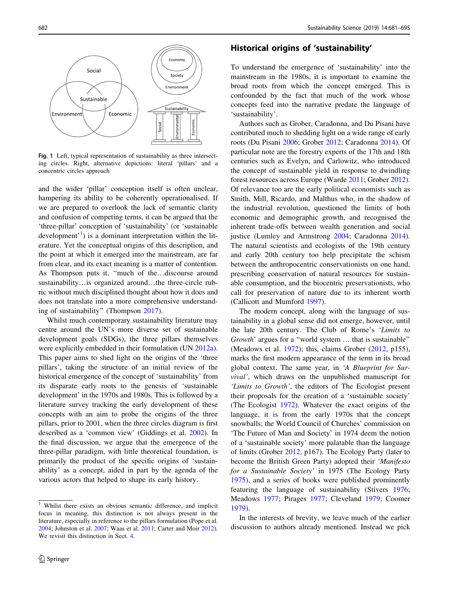<span id="page-1-0"></span>

Fig. 1 Left, typical representation of sustainability as three intersecting circles. Right, alternative depictions: literal 'pillars' and a concentric circles approach

and the wider 'pillar' conception itself is often unclear, hampering its ability to be coherently operationalised. If we are prepared to overlook the lack of semantic clarity and confusion of competing terms, it can be argued that the 'three-pillar' conception of 'sustainability' (or 'sustainable development'<sup>1</sup>) is a dominant interpretation within the literature. Yet the conceptual origins of this description, and the point at which it emerged into the mainstream, are far from clear, and its exact meaning is a matter of contention. As Thompson puts it, ''much of the…discourse around sustainability…is organized around…the three-circle rubric without much disciplined thought about how it does and does not translate into a more comprehensive understanding of sustainability'' (Thompson [2017](#page-13-0)).

Whilst much contemporary sustainability literature may centre around the UN's more diverse set of sustainable development goals (SDGs), the three pillars themselves were explicitly embedded in their formulation (UN [2012a](#page-14-0)). This paper aims to shed light on the origins of the 'three pillars', taking the structure of an initial review of the historical emergence of the concept of 'sustainability' from its disparate early roots to the genesis of 'sustainable development' in the 1970s and 1980s. This is followed by a literature survey tracking the early development of these concepts with an aim to probe the origins of the three pillars, prior to 2001, when the three circles diagram is first described as a 'common view' (Giddings et al. [2002](#page-12-0)). In the final discussion, we argue that the emergence of the three-pillar paradigm, with little theoretical foundation, is primarily the product of the specific origins of 'sustainability' as a concept, aided in part by the agenda of the various actors that helped to shape its early history.

## Historical origins of 'sustainability'

To understand the emergence of 'sustainability' into the mainstream in the 1980s, it is important to examine the broad roots from which the concept emerged. This is confounded by the fact that much of the work whose concepts feed into the narrative predate the language of 'sustainability'.

Authors such as Grober, Caradonna, and Du Pisani have contributed much to shedding light on a wide range of early roots (Du Pisani [2006](#page-12-0); Grober [2012;](#page-12-0) Caradonna [2014\)](#page-12-0). Of particular note are the forestry experts of the 17th and 18th centuries such as Evelyn, and Carlowitz, who introduced the concept of sustainable yield in response to dwindling forest resources across Europe (Warde [2011;](#page-14-0) Grober [2012](#page-12-0)). Of relevance too are the early political economists such as Smith, Mill, Ricardo, and Malthus who, in the shadow of the industrial revolution, questioned the limits of both economic and demographic growth, and recognised the inherent trade-offs between wealth generation and social justice (Lumley and Armstrong [2004](#page-13-0); Caradonna [2014](#page-12-0)). The natural scientists and ecologists of the 19th century and early 20th century too help precipitate the schism between the anthropocentric conservationists on one hand, prescribing conservation of natural resources for sustainable consumption, and the biocentric preservationists, who call for preservation of nature due to its inherent worth (Callicott and Mumford [1997\)](#page-12-0).

The modern concept, along with the language of sustainability in a global sense did not emerge, however, until the late 20th century. The Club of Rome's 'Limits to Growth' argues for a "world system ... that is sustainable" (Meadows et al. [1972](#page-13-0)); this, claims Grober [\(2012](#page-12-0), p155), marks the first modern appearance of the term in its broad global context. The same year, in 'A Blueprint for Survival', which draws on the unpublished manuscript for 'Limits to Growth', the editors of The Ecologist present their proposals for the creation of a 'sustainable society' (The Ecologist [1972\)](#page-12-0). Whatever the exact origins of the language, it is from the early 1970s that the concept snowballs; the World Council of Churches' commission on 'The Future of Man and Society' in 1974 deem the notion of a 'sustainable society' more palatable than the language of limits (Grober [2012](#page-12-0), p167). The Ecology Party (later to become the British Green Party) adopted their 'Manifesto for a Sustainable Society' in 1975 (The Ecology Party [1975](#page-13-0)), and a series of books were published prominently featuring the language of sustainability (Stivers [1976](#page-13-0); Meadows [1977;](#page-13-0) Pirages [1977](#page-13-0); Cleveland [1979](#page-12-0); Coomer [1979](#page-12-0)).

In the interests of brevity, we leave much of the earlier discussion to authors already mentioned. Instead we pick

 $\frac{1}{1}$  Whilst there exists an obvious semantic difference, and implicit focus in meaning, this distinction is not always present in the literature, especially in reference to the pillars formulation (Pope et al. [2004;](#page-13-0) Johnston et al. [2007;](#page-13-0) Waas et al. [2011](#page-14-0); Carter and Moir [2012](#page-12-0)). We revisit this distinction in Sect. [4.](#page-8-0)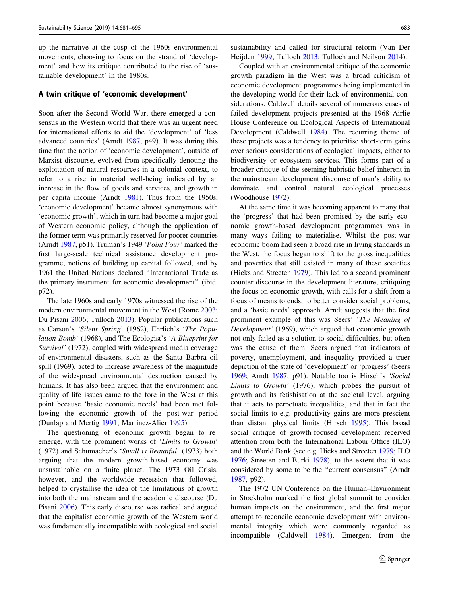up the narrative at the cusp of the 1960s environmental movements, choosing to focus on the strand of 'development' and how its critique contributed to the rise of 'sustainable development' in the 1980s.

## A twin critique of 'economic development'

Soon after the Second World War, there emerged a consensus in the Western world that there was an urgent need for international efforts to aid the 'development' of 'less advanced countries' (Arndt [1987](#page-11-0), p49). It was during this time that the notion of 'economic development', outside of Marxist discourse, evolved from specifically denoting the exploitation of natural resources in a colonial context, to refer to a rise in material well-being indicated by an increase in the flow of goods and services, and growth in per capita income (Arndt [1981\)](#page-11-0). Thus from the 1950s, 'economic development' became almost synonymous with 'economic growth', which in turn had become a major goal of Western economic policy, although the application of the former term was primarily reserved for poorer countries (Arndt [1987,](#page-11-0) p51). Truman's 1949 'Point Four' marked the first large-scale technical assistance development programme, notions of building up capital followed, and by 1961 the United Nations declared ''International Trade as the primary instrument for economic development'' (ibid. p72).

The late 1960s and early 1970s witnessed the rise of the modern environmental movement in the West (Rome [2003](#page-13-0); Du Pisani [2006](#page-12-0); Tulloch [2013\)](#page-13-0). Popular publications such as Carson's 'Silent Spring' (1962), Ehrlich's 'The Population Bomb' (1968), and The Ecologist's 'A Blueprint for Survival' (1972), coupled with widespread media coverage of environmental disasters, such as the Santa Barbra oil spill (1969), acted to increase awareness of the magnitude of the widespread environmental destruction caused by humans. It has also been argued that the environment and quality of life issues came to the fore in the West at this point because 'basic economic needs' had been met following the economic growth of the post-war period (Dunlap and Mertig [1991](#page-12-0); Martínez-Alier [1995\)](#page-13-0).

The questioning of economic growth began to reemerge, with the prominent works of 'Limits to Growth' (1972) and Schumacher's 'Small is Beautiful' (1973) both arguing that the modern growth-based economy was unsustainable on a finite planet. The 1973 Oil Crisis, however, and the worldwide recession that followed, helped to crystallise the idea of the limitations of growth into both the mainstream and the academic discourse (Du Pisani [2006\)](#page-12-0). This early discourse was radical and argued that the capitalist economic growth of the Western world was fundamentally incompatible with ecological and social sustainability and called for structural reform (Van Der Heijden [1999](#page-14-0); Tulloch [2013;](#page-13-0) Tulloch and Neilson [2014\)](#page-13-0).

Coupled with an environmental critique of the economic growth paradigm in the West was a broad criticism of economic development programmes being implemented in the developing world for their lack of environmental considerations. Caldwell details several of numerous cases of failed development projects presented at the 1968 Airlie House Conference on Ecological Aspects of International Development (Caldwell [1984\)](#page-12-0). The recurring theme of these projects was a tendency to prioritise short-term gains over serious considerations of ecological impacts, either to biodiversity or ecosystem services. This forms part of a broader critique of the seeming hubristic belief inherent in the mainstream development discourse of man's ability to dominate and control natural ecological processes (Woodhouse [1972](#page-14-0)).

At the same time it was becoming apparent to many that the 'progress' that had been promised by the early economic growth-based development programmes was in many ways failing to materialise. Whilst the post-war economic boom had seen a broad rise in living standards in the West, the focus began to shift to the gross inequalities and poverties that still existed in many of these societies (Hicks and Streeten [1979](#page-12-0)). This led to a second prominent counter-discourse in the development literature, critiquing the focus on economic growth, with calls for a shift from a focus of means to ends, to better consider social problems, and a 'basic needs' approach. Arndt suggests that the first prominent example of this was Seers' 'The Meaning of Development' (1969), which argued that economic growth not only failed as a solution to social difficulties, but often was the cause of them. Seers argued that indicators of poverty, unemployment, and inequality provided a truer depiction of the state of 'development' or 'progress' (Seers [1969](#page-13-0); Arndt [1987](#page-11-0), p91). Notable too is Hirsch's 'Social Limits to Growth' (1976), which probes the pursuit of growth and its fetishisation at the societal level, arguing that it acts to perpetuate inequalities, and that in fact the social limits to e.g. productivity gains are more prescient than distant physical limits (Hirsch [1995\)](#page-12-0). This broad social critique of growth-focused development received attention from both the International Labour Office (ILO) and the World Bank (see e.g. Hicks and Streeten [1979](#page-12-0); ILO [1976](#page-12-0); Streeten and Burki [1978](#page-13-0)), to the extent that it was considered by some to be the ''current consensus'' (Arndt [1987](#page-11-0), p92).

The 1972 UN Conference on the Human–Environment in Stockholm marked the first global summit to consider human impacts on the environment, and the first major attempt to reconcile economic development with environmental integrity which were commonly regarded as incompatible (Caldwell [1984\)](#page-12-0). Emergent from the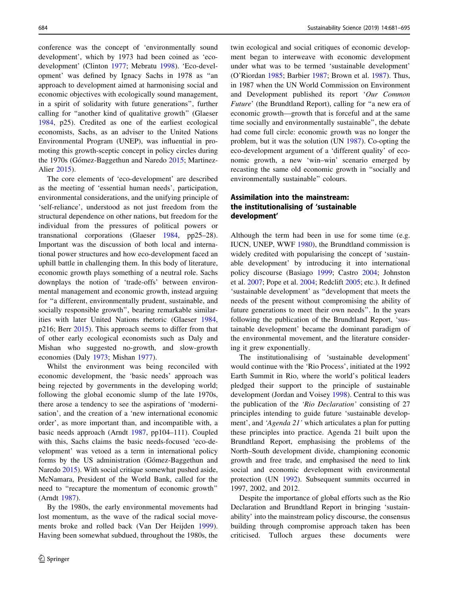conference was the concept of 'environmentally sound development', which by 1973 had been coined as 'ecodevelopment' (Clinton [1977](#page-12-0); Mebratu [1998](#page-13-0)). 'Eco-development' was defined by Ignacy Sachs in 1978 as ''an approach to development aimed at harmonising social and economic objectives with ecologically sound management, in a spirit of solidarity with future generations'', further calling for ''another kind of qualitative growth'' (Glaeser [1984,](#page-12-0) p25). Credited as one of the earliest ecological economists, Sachs, as an adviser to the United Nations Environmental Program (UNEP), was influential in promoting this growth-sceptic concept in policy circles during the 1970s (Gómez-Baggethun and Naredo [2015](#page-12-0); Martinez-Alier [2015\)](#page-13-0).

The core elements of 'eco-development' are described as the meeting of 'essential human needs', participation, environmental considerations, and the unifying principle of 'self-reliance', understood as not just freedom from the structural dependence on other nations, but freedom for the individual from the pressures of political powers or transnational corporations (Glaeser [1984](#page-12-0), pp25–28). Important was the discussion of both local and international power structures and how eco-development faced an uphill battle in challenging them. In this body of literature, economic growth plays something of a neutral role. Sachs downplays the notion of 'trade-offs' between environmental management and economic growth, instead arguing for ''a different, environmentally prudent, sustainable, and socially responsible growth'', bearing remarkable similarities with later United Nations rhetoric (Glaeser [1984,](#page-12-0) p216; Berr [2015\)](#page-12-0). This approach seems to differ from that of other early ecological economists such as Daly and Mishan who suggested no-growth, and slow-growth economies (Daly [1973](#page-12-0); Mishan [1977\)](#page-13-0).

Whilst the environment was being reconciled with economic development, the 'basic needs' approach was being rejected by governments in the developing world; following the global economic slump of the late 1970s, there arose a tendency to see the aspirations of 'modernisation', and the creation of a 'new international economic order', as more important than, and incompatible with, a basic needs approach (Arndt [1987,](#page-11-0) pp104–111). Coupled with this, Sachs claims the basic needs-focused 'eco-development' was vetoed as a term in international policy forms by the US administration (Gómez-Baggethun and Naredo [2015\)](#page-12-0). With social critique somewhat pushed aside, McNamara, President of the World Bank, called for the need to ''recapture the momentum of economic growth'' (Arndt [1987\)](#page-11-0).

By the 1980s, the early environmental movements had lost momentum, as the wave of the radical social movements broke and rolled back (Van Der Heijden [1999](#page-14-0)). Having been somewhat subdued, throughout the 1980s, the

twin ecological and social critiques of economic development began to interweave with economic development under what was to be termed 'sustainable development' (O'Riordan [1985](#page-13-0); Barbier [1987;](#page-11-0) Brown et al. [1987\)](#page-12-0). Thus, in 1987 when the UN World Commission on Environment and Development published its report 'Our Common Future' (the Brundtland Report), calling for ''a new era of economic growth—growth that is forceful and at the same time socially and environmentally sustainable'', the debate had come full circle: economic growth was no longer the problem, but it was the solution (UN [1987\)](#page-14-0). Co-opting the eco-development argument of a 'different quality' of economic growth, a new 'win–win' scenario emerged by recasting the same old economic growth in ''socially and environmentally sustainable'' colours.

# Assimilation into the mainstream: the institutionalising of 'sustainable development'

Although the term had been in use for some time (e.g. IUCN, UNEP, WWF [1980\)](#page-12-0), the Brundtland commission is widely credited with popularising the concept of 'sustainable development' by introducing it into international policy discourse (Basiago [1999;](#page-11-0) Castro [2004;](#page-12-0) Johnston et al. [2007](#page-13-0); Pope et al. [2004](#page-13-0); Redclift [2005](#page-13-0); etc.). It defined 'sustainable development' as ''development that meets the needs of the present without compromising the ability of future generations to meet their own needs''. In the years following the publication of the Brundtland Report, 'sustainable development' became the dominant paradigm of the environmental movement, and the literature considering it grew exponentially.

The institutionalising of 'sustainable development' would continue with the 'Rio Process', initiated at the 1992 Earth Summit in Rio, where the world's political leaders pledged their support to the principle of sustainable development (Jordan and Voisey [1998\)](#page-13-0). Central to this was the publication of the 'Rio Declaration' consisting of 27 principles intending to guide future 'sustainable development', and 'Agenda 21' which articulates a plan for putting these principles into practice. Agenda 21 built upon the Brundtland Report, emphasising the problems of the North–South development divide, championing economic growth and free trade, and emphasised the need to link social and economic development with environmental protection (UN [1992\)](#page-14-0). Subsequent summits occurred in 1997, 2002, and 2012.

Despite the importance of global efforts such as the Rio Declaration and Brundtland Report in bringing 'sustainability' into the mainstream policy discourse, the consensus building through compromise approach taken has been criticised. Tulloch argues these documents were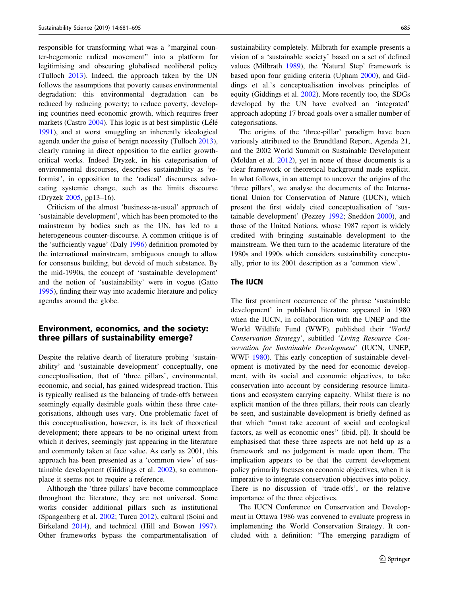responsible for transforming what was a ''marginal counter-hegemonic radical movement'' into a platform for legitimising and obscuring globalised neoliberal policy (Tulloch [2013\)](#page-13-0). Indeed, the approach taken by the UN follows the assumptions that poverty causes environmental degradation; this environmental degradation can be reduced by reducing poverty; to reduce poverty, developing countries need economic growth, which requires freer markets (Castro  $2004$ ). This logic is at best simplistic (Lélé [1991\)](#page-13-0), and at worst smuggling an inherently ideological agenda under the guise of benign necessity (Tulloch [2013](#page-13-0)), clearly running in direct opposition to the earlier growthcritical works. Indeed Dryzek, in his categorisation of environmental discourses, describes sustainability as 'reformist', in opposition to the 'radical' discourses advocating systemic change, such as the limits discourse (Dryzek [2005](#page-12-0), pp13–16).

Criticism of the almost 'business-as-usual' approach of 'sustainable development', which has been promoted to the mainstream by bodies such as the UN, has led to a heterogeneous counter-discourse. A common critique is of the 'sufficiently vague' (Daly [1996\)](#page-12-0) definition promoted by the international mainstream, ambiguous enough to allow for consensus building, but devoid of much substance. By the mid-1990s, the concept of 'sustainable development' and the notion of 'sustainability' were in vogue (Gatto [1995\)](#page-12-0), finding their way into academic literature and policy agendas around the globe.

# Environment, economics, and the society: three pillars of sustainability emerge?

Despite the relative dearth of literature probing 'sustainability' and 'sustainable development' conceptually, one conceptualisation, that of 'three pillars', environmental, economic, and social, has gained widespread traction. This is typically realised as the balancing of trade-offs between seemingly equally desirable goals within these three categorisations, although uses vary. One problematic facet of this conceptualisation, however, is its lack of theoretical development; there appears to be no original urtext from which it derives, seemingly just appearing in the literature and commonly taken at face value. As early as 2001, this approach has been presented as a 'common view' of sustainable development (Giddings et al. [2002](#page-12-0)), so commonplace it seems not to require a reference.

Although the 'three pillars' have become commonplace throughout the literature, they are not universal. Some works consider additional pillars such as institutional (Spangenberg et al. [2002](#page-13-0); Turcu [2012\)](#page-14-0), cultural (Soini and Birkeland [2014](#page-13-0)), and technical (Hill and Bowen [1997](#page-12-0)). Other frameworks bypass the compartmentalisation of sustainability completely. Milbrath for example presents a vision of a 'sustainable society' based on a set of defined values (Milbrath [1989\)](#page-13-0), the 'Natural Step' framework is based upon four guiding criteria (Upham [2000\)](#page-14-0), and Giddings et al.'s conceptualisation involves principles of equity (Giddings et al. [2002](#page-12-0)). More recently too, the SDGs developed by the UN have evolved an 'integrated' approach adopting 17 broad goals over a smaller number of categorisations.

The origins of the 'three-pillar' paradigm have been variously attributed to the Brundtland Report, Agenda 21, and the 2002 World Summit on Sustainable Development (Moldan et al. [2012\)](#page-13-0), yet in none of these documents is a clear framework or theoretical background made explicit. In what follows, in an attempt to uncover the origins of the 'three pillars', we analyse the documents of the International Union for Conservation of Nature (IUCN), which present the first widely cited conceptualisation of 'sustainable development' (Pezzey [1992;](#page-13-0) Sneddon [2000](#page-13-0)), and those of the United Nations, whose 1987 report is widely credited with bringing sustainable development to the mainstream. We then turn to the academic literature of the 1980s and 1990s which considers sustainability conceptually, prior to its 2001 description as a 'common view'.

#### The IUCN

The first prominent occurrence of the phrase 'sustainable development' in published literature appeared in 1980 when the IUCN, in collaboration with the UNEP and the World Wildlife Fund (WWF), published their 'World Conservation Strategy', subtitled 'Living Resource Conservation for Sustainable Development' (IUCN, UNEP, WWF [1980\)](#page-12-0). This early conception of sustainable development is motivated by the need for economic development, with its social and economic objectives, to take conservation into account by considering resource limitations and ecosystem carrying capacity. Whilst there is no explicit mention of the three pillars, their roots can clearly be seen, and sustainable development is briefly defined as that which ''must take account of social and ecological factors, as well as economic ones'' (ibid. pI). It should be emphasised that these three aspects are not held up as a framework and no judgement is made upon them. The implication appears to be that the current development policy primarily focuses on economic objectives, when it is imperative to integrate conservation objectives into policy. There is no discussion of 'trade-offs', or the relative importance of the three objectives.

The IUCN Conference on Conservation and Development in Ottawa 1986 was convened to evaluate progress in implementing the World Conservation Strategy. It concluded with a definition: ''The emerging paradigm of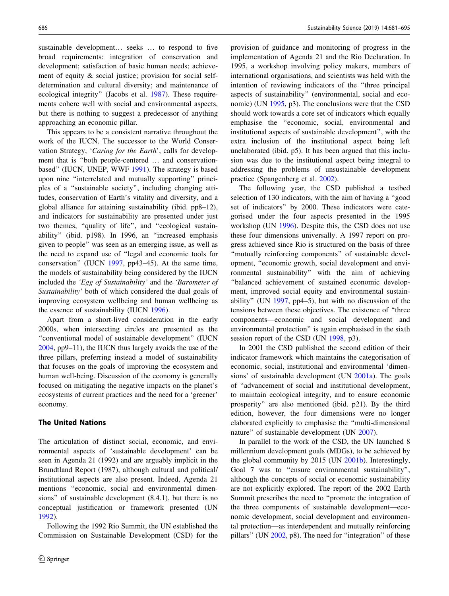sustainable development… seeks … to respond to five broad requirements: integration of conservation and development; satisfaction of basic human needs; achievement of equity & social justice; provision for social selfdetermination and cultural diversity; and maintenance of ecological integrity'' (Jacobs et al. [1987](#page-12-0)). These requirements cohere well with social and environmental aspects, but there is nothing to suggest a predecessor of anything approaching an economic pillar.

This appears to be a consistent narrative throughout the work of the IUCN. The successor to the World Conservation Strategy, 'Caring for the Earth', calls for development that is ''both people-centered … and conservationbased'' (IUCN, UNEP, WWF [1991](#page-12-0)). The strategy is based upon nine ''interrelated and mutually supporting'' principles of a ''sustainable society'', including changing attitudes, conservation of Earth's vitality and diversity, and a global alliance for attaining sustainability (ibid. pp8–12), and indicators for sustainability are presented under just two themes, "quality of life", and "ecological sustainability'' (ibid. p198). In 1996, an ''increased emphasis given to people'' was seen as an emerging issue, as well as the need to expand use of ''legal and economic tools for conservation'' (IUCN [1997](#page-12-0), pp43–45). At the same time, the models of sustainability being considered by the IUCN included the 'Egg of Sustainability' and the 'Barometer of Sustainability' both of which considered the dual goals of improving ecosystem wellbeing and human wellbeing as the essence of sustainability (IUCN [1996\)](#page-12-0).

Apart from a short-lived consideration in the early 2000s, when intersecting circles are presented as the ''conventional model of sustainable development'' (IUCN [2004,](#page-12-0) pp9–11), the IUCN thus largely avoids the use of the three pillars, preferring instead a model of sustainability that focuses on the goals of improving the ecosystem and human well-being. Discussion of the economy is generally focused on mitigating the negative impacts on the planet's ecosystems of current practices and the need for a 'greener' economy.

## The United Nations

The articulation of distinct social, economic, and environmental aspects of 'sustainable development' can be seen in Agenda 21 (1992) and are arguably implicit in the Brundtland Report (1987), although cultural and political/ institutional aspects are also present. Indeed, Agenda 21 mentions ''economic, social and environmental dimensions'' of sustainable development (8.4.1), but there is no conceptual justification or framework presented (UN [1992\)](#page-14-0).

Following the 1992 Rio Summit, the UN established the Commission on Sustainable Development (CSD) for the provision of guidance and monitoring of progress in the implementation of Agenda 21 and the Rio Declaration. In 1995, a workshop involving policy makers, members of international organisations, and scientists was held with the intention of reviewing indicators of the ''three principal aspects of sustainability'' (environmental, social and economic) (UN [1995,](#page-14-0) p3). The conclusions were that the CSD should work towards a core set of indicators which equally emphasise the ''economic, social, environmental and institutional aspects of sustainable development'', with the extra inclusion of the institutional aspect being left unelaborated (ibid. p5). It has been argued that this inclusion was due to the institutional aspect being integral to addressing the problems of unsustainable development practice (Spangenberg et al. [2002\)](#page-13-0).

The following year, the CSD published a testbed selection of 130 indicators, with the aim of having a ''good set of indicators'' by 2000. These indicators were categorised under the four aspects presented in the 1995 workshop (UN [1996](#page-14-0)). Despite this, the CSD does not use these four dimensions universally. A 1997 report on progress achieved since Rio is structured on the basis of three "mutually reinforcing components" of sustainable development, ''economic growth, social development and environmental sustainability'' with the aim of achieving ''balanced achievement of sustained economic development, improved social equity and environmental sustainability'' (UN [1997](#page-14-0), pp4–5), but with no discussion of the tensions between these objectives. The existence of ''three components—economic and social development and environmental protection'' is again emphasised in the sixth session report of the CSD (UN [1998](#page-14-0), p3).

In 2001 the CSD published the second edition of their indicator framework which maintains the categorisation of economic, social, institutional and environmental 'dimensions' of sustainable development (UN [2001a\)](#page-14-0). The goals of ''advancement of social and institutional development, to maintain ecological integrity, and to ensure economic prosperity'' are also mentioned (ibid. p21). By the third edition, however, the four dimensions were no longer elaborated explicitly to emphasise the ''multi-dimensional nature'' of sustainable development (UN [2007\)](#page-14-0).

In parallel to the work of the CSD, the UN launched 8 millennium development goals (MDGs), to be achieved by the global community by 2015 (UN [2001b\)](#page-14-0). Interestingly, Goal 7 was to "ensure environmental sustainability", although the concepts of social or economic sustainability are not explicitly explored. The report of the 2002 Earth Summit prescribes the need to ''promote the integration of the three components of sustainable development—economic development, social development and environmental protection—as interdependent and mutually reinforcing pillars'' (UN [2002](#page-14-0), p8). The need for ''integration'' of these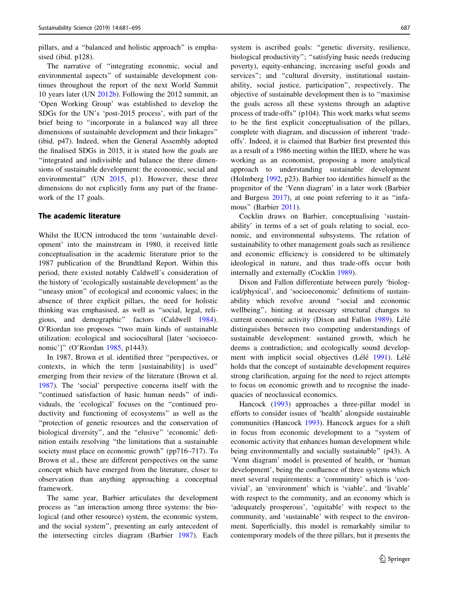pillars, and a ''balanced and holistic approach'' is emphasised (ibid. p128).

The narrative of ''integrating economic, social and environmental aspects'' of sustainable development continues throughout the report of the next World Summit 10 years later (UN [2012b](#page-14-0)). Following the 2012 summit, an 'Open Working Group' was established to develop the SDGs for the UN's 'post-2015 process', with part of the brief being to ''incorporate in a balanced way all three dimensions of sustainable development and their linkages'' (ibid. p47). Indeed, when the General Assembly adopted the finalised SDGs in 2015, it is stated how the goals are ''integrated and indivisible and balance the three dimensions of sustainable development: the economic, social and environmental" (UN [2015](#page-14-0), p1). However, these three dimensions do not explicitly form any part of the framework of the 17 goals.

#### The academic literature

Whilst the IUCN introduced the term 'sustainable development' into the mainstream in 1980, it received little conceptualisation in the academic literature prior to the 1987 publication of the Brundtland Report. Within this period, there existed notably Caldwell's consideration of the history of 'ecologically sustainable development' as the ''uneasy union'' of ecological and economic values; in the absence of three explicit pillars, the need for holistic thinking was emphasised, as well as ''social, legal, religious, and demographic'' factors (Caldwell [1984](#page-12-0)). O'Riordan too proposes ''two main kinds of sustainable utilization: ecological and sociocultural [later 'socioeconomic']'' (O'Riordan [1985,](#page-13-0) p1443).

In 1987, Brown et al. identified three ''perspectives, or contexts, in which the term [sustainability] is used'' emerging from their review of the literature (Brown et al. [1987\)](#page-12-0). The 'social' perspective concerns itself with the ''continued satisfaction of basic human needs'' of individuals, the 'ecological' focuses on the ''continued productivity and functioning of ecosystems'' as well as the ''protection of genetic resources and the conservation of biological diversity", and the "elusive" 'economic' definition entails resolving ''the limitations that a sustainable society must place on economic growth" (pp716–717). To Brown et al., these are different perspectives on the same concept which have emerged from the literature, closer to observation than anything approaching a conceptual framework.

The same year, Barbier articulates the development process as ''an interaction among three systems: the biological (and other resource) system, the economic system, and the social system'', presenting an early antecedent of the intersecting circles diagram (Barbier [1987](#page-11-0)). Each system is ascribed goals: ''genetic diversity, resilience, biological productivity''; ''satisfying basic needs (reducing poverty), equity-enhancing, increasing useful goods and services"; and "cultural diversity, institutional sustainability, social justice, participation'', respectively. The objective of sustainable development then is to ''maximise the goals across all these systems through an adaptive process of trade-offs'' (p104). This work marks what seems to be the first explicit conceptualisation of the pillars, complete with diagram, and discussion of inherent 'tradeoffs'. Indeed, it is claimed that Barbier first presented this as a result of a 1986 meeting within the IIED, where he was working as an economist, proposing a more analytical approach to understanding sustainable development (Holmberg [1992,](#page-12-0) p23). Barbier too identifies himself as the progenitor of the 'Venn diagram' in a later work (Barbier and Burgess [2017](#page-11-0)), at one point referring to it as ''infamous'' (Barbier [2011](#page-11-0)).

Cocklin draws on Barbier, conceptualising 'sustainability' in terms of a set of goals relating to social, economic, and environmental subsystems. The relation of sustainability to other management goals such as resilience and economic efficiency is considered to be ultimately ideological in nature, and thus trade-offs occur both internally and externally (Cocklin [1989](#page-12-0)).

Dixon and Fallon differentiate between purely 'biological/physical', and 'socioeconomic' definitions of sustainability which revolve around ''social and economic wellbeing'', hinting at necessary structural changes to current economic activity (Dixon and Fallon [1989](#page-12-0)). Lélé distinguishes between two competing understandings of sustainable development: sustained growth, which he deems a contradiction; and ecologically sound develop-ment with implicit social objectives (Lélé [1991\)](#page-13-0). Lélé holds that the concept of sustainable development requires strong clarification, arguing for the need to reject attempts to focus on economic growth and to recognise the inadequacies of neoclassical economics.

Hancock ([1993\)](#page-12-0) approaches a three-pillar model in efforts to consider issues of 'health' alongside sustainable communities (Hancock [1993](#page-12-0)). Hancock argues for a shift in focus from economic development to a ''system of economic activity that enhances human development while being environmentally and socially sustainable'' (p43). A 'Venn diagram' model is presented of health, or 'human development', being the confluence of three systems which meet several requirements: a 'community' which is 'convivial', an 'environment' which is 'viable', and 'livable' with respect to the community, and an economy which is 'adequately prosperous', 'equitable' with respect to the community, and 'sustainable' with respect to the environment. Superficially, this model is remarkably similar to contemporary models of the three pillars, but it presents the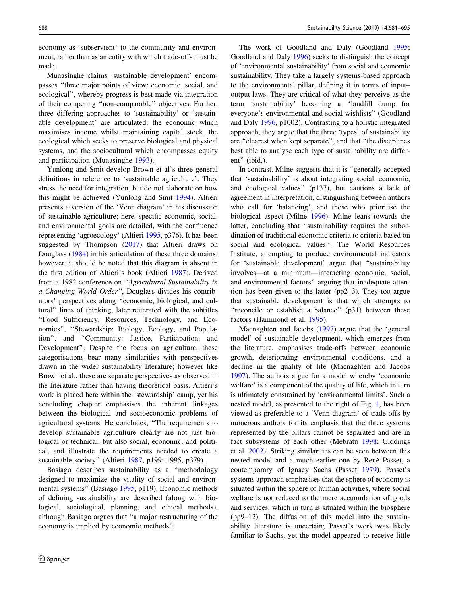economy as 'subservient' to the community and environment, rather than as an entity with which trade-offs must be made.

Munasinghe claims 'sustainable development' encompasses ''three major points of view: economic, social, and ecological'', whereby progress is best made via integration of their competing ''non-comparable'' objectives. Further, three differing approaches to 'sustainability' or 'sustainable development' are articulated: the economic which maximises income whilst maintaining capital stock, the ecological which seeks to preserve biological and physical systems, and the sociocultural which encompasses equity and participation (Munasinghe [1993\)](#page-13-0).

Yunlong and Smit develop Brown et al's three general definitions in reference to 'sustainable agriculture'. They stress the need for integration, but do not elaborate on how this might be achieved (Yunlong and Smit [1994](#page-14-0)). Altieri presents a version of the 'Venn diagram' in his discussion of sustainable agriculture; here, specific economic, social, and environmental goals are detailed, with the confluence representing 'agroecology' (Altieri [1995](#page-11-0), p376). It has been suggested by Thompson  $(2017)$  $(2017)$  that Altieri draws on Douglass [\(1984](#page-12-0)) in his articulation of these three domains; however, it should be noted that this diagram is absent in the first edition of Altieri's book (Altieri [1987\)](#page-11-0). Derived from a 1982 conference on ''Agricultural Sustainability in a Changing World Order'', Douglass divides his contributors' perspectives along ''economic, biological, and cultural'' lines of thinking, later reiterated with the subtitles ''Food Sufficiency: Resources, Technology, and Economics'', ''Stewardship: Biology, Ecology, and Population'', and ''Community: Justice, Participation, and Development''. Despite the focus on agriculture, these categorisations bear many similarities with perspectives drawn in the wider sustainability literature; however like Brown et al., these are separate perspectives as observed in the literature rather than having theoretical basis. Altieri's work is placed here within the 'stewardship' camp, yet his concluding chapter emphasises the inherent linkages between the biological and socioeconomic problems of agricultural systems. He concludes, ''The requirements to develop sustainable agriculture clearly are not just biological or technical, but also social, economic, and political, and illustrate the requirements needed to create a sustainable society'' (Altieri [1987,](#page-11-0) p199; 1995, p379).

Basiago describes sustainability as a ''methodology designed to maximize the vitality of social and environmental systems'' (Basiago [1995,](#page-11-0) p119). Economic methods of defining sustainability are described (along with biological, sociological, planning, and ethical methods), although Basiago argues that ''a major restructuring of the economy is implied by economic methods''.

The work of Goodland and Daly (Goodland [1995](#page-12-0); Goodland and Daly [1996\)](#page-12-0) seeks to distinguish the concept of 'environmental sustainability' from social and economic sustainability. They take a largely systems-based approach to the environmental pillar, defining it in terms of input– output laws. They are critical of what they perceive as the term 'sustainability' becoming a ''landfill dump for everyone's environmental and social wishlists'' (Goodland and Daly [1996,](#page-12-0) p1002). Contrasting to a holistic integrated approach, they argue that the three 'types' of sustainability are ''clearest when kept separate'', and that ''the disciplines best able to analyse each type of sustainability are different'' (ibid.).

In contrast, Milne suggests that it is ''generally accepted that 'sustainability' is about integrating social, economic, and ecological values'' (p137), but cautions a lack of agreement in interpretation, distinguishing between authors who call for 'balancing', and those who prioritise the biological aspect (Milne [1996](#page-13-0)). Milne leans towards the latter, concluding that ''sustainability requires the subordination of traditional economic criteria to criteria based on social and ecological values''. The World Resources Institute, attempting to produce environmental indicators for 'sustainable development' argue that ''sustainability involves—at a minimum—interacting economic, social, and environmental factors'' arguing that inadequate attention has been given to the latter (pp2–3). They too argue that sustainable development is that which attempts to "reconcile or establish a balance" (p31) between these factors (Hammond et al. [1995](#page-12-0)).

Macnaghten and Jacobs [\(1997\)](#page-13-0) argue that the 'general model' of sustainable development, which emerges from the literature, emphasises trade-offs between economic growth, deteriorating environmental conditions, and a decline in the quality of life (Macnaghten and Jacobs [1997](#page-13-0)). The authors argue for a model whereby 'economic welfare' is a component of the quality of life, which in turn is ultimately constrained by 'environmental limits'. Such a nested model, as presented to the right of Fig. [1](#page-1-0), has been viewed as preferable to a 'Venn diagram' of trade-offs by numerous authors for its emphasis that the three systems represented by the pillars cannot be separated and are in fact subsystems of each other (Mebratu [1998](#page-13-0); Giddings et al. [2002\)](#page-12-0). Striking similarities can be seen between this nested model and a much earlier one by Renè Passet, a contemporary of Ignacy Sachs (Passet [1979](#page-13-0)). Passet's systems approach emphasises that the sphere of economy is situated within the sphere of human activities, where social welfare is not reduced to the mere accumulation of goods and services, which in turn is situated within the biosphere (pp9–12). The diffusion of this model into the sustainability literature is uncertain; Passet's work was likely familiar to Sachs, yet the model appeared to receive little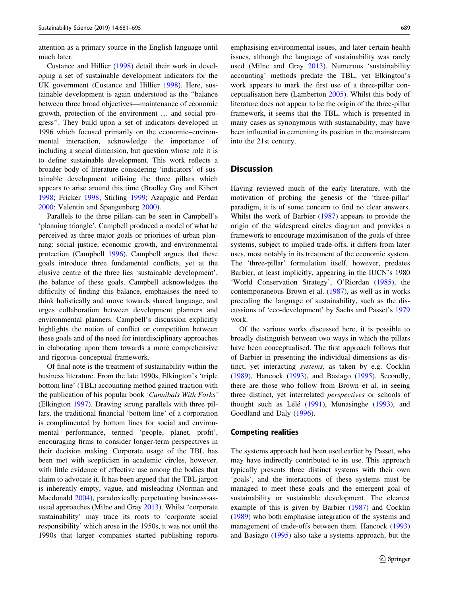<span id="page-8-0"></span>attention as a primary source in the English language until much later.

Custance and Hillier ([1998\)](#page-12-0) detail their work in developing a set of sustainable development indicators for the UK government (Custance and Hillier [1998](#page-12-0)). Here, sustainable development is again understood as the ''balance between three broad objectives—maintenance of economic growth, protection of the environment … and social progress''. They build upon a set of indicators developed in 1996 which focused primarily on the economic–environmental interaction, acknowledge the importance of including a social dimension, but question whose role it is to define sustainable development. This work reflects a broader body of literature considering 'indicators' of sustainable development utilising the three pillars which appears to arise around this time (Bradley Guy and Kibert [1998;](#page-12-0) Fricker [1998](#page-12-0); Stirling [1999](#page-13-0); Azapagic and Perdan [2000;](#page-11-0) Valentin and Spangenberg [2000](#page-14-0)).

Parallels to the three pillars can be seen in Campbell's 'planning triangle'. Campbell produced a model of what he perceived as three major goals or priorities of urban planning: social justice, economic growth, and environmental protection (Campbell [1996\)](#page-12-0). Campbell argues that these goals introduce three fundamental conflicts, yet at the elusive centre of the three lies 'sustainable development', the balance of these goals. Campbell acknowledges the difficulty of finding this balance, emphasises the need to think holistically and move towards shared language, and urges collaboration between development planners and environmental planners. Campbell's discussion explicitly highlights the notion of conflict or competition between these goals and of the need for interdisciplinary approaches in elaborating upon them towards a more comprehensive and rigorous conceptual framework.

Of final note is the treatment of sustainability within the business literature. From the late 1990s, Elkington's 'triple bottom line' (TBL) accounting method gained traction with the publication of his popular book 'Cannibals With Forks' (Elkington [1997](#page-12-0)). Drawing strong parallels with three pillars, the traditional financial 'bottom line' of a corporation is complimented by bottom lines for social and environmental performance, termed 'people, planet, profit', encouraging firms to consider longer-term perspectives in their decision making. Corporate usage of the TBL has been met with scepticism in academic circles, however, with little evidence of effective use among the bodies that claim to advocate it. It has been argued that the TBL jargon is inherently empty, vague, and misleading (Norman and Macdonald [2004](#page-13-0)), paradoxically perpetuating business-asusual approaches (Milne and Gray [2013\)](#page-13-0). Whilst 'corporate sustainability' may trace its roots to 'corporate social responsibility' which arose in the 1950s, it was not until the 1990s that larger companies started publishing reports emphasising environmental issues, and later certain health issues, although the language of sustainability was rarely used (Milne and Gray [2013\)](#page-13-0). Numerous 'sustainability accounting' methods predate the TBL, yet Elkington's work appears to mark the first use of a three-pillar conceptualisation here (Lamberton [2005](#page-13-0)). Whilst this body of literature does not appear to be the origin of the three-pillar framework, it seems that the TBL, which is presented in many cases as synonymous with sustainability, may have been influential in cementing its position in the mainstream into the 21st century.

## **Discussion**

Having reviewed much of the early literature, with the motivation of probing the genesis of the 'three-pillar' paradigm, it is of some concern to find no clear answers. Whilst the work of Barbier [\(1987](#page-11-0)) appears to provide the origin of the widespread circles diagram and provides a framework to encourage maximisation of the goals of three systems, subject to implied trade-offs, it differs from later uses, most notably in its treatment of the economic system. The 'three-pillar' formulation itself, however, predates Barbier, at least implicitly, appearing in the IUCN's 1980 'World Conservation Strategy', O'Riordan ([1985\)](#page-13-0), the contemporaneous Brown et al. ([1987\)](#page-12-0), as well as in works preceding the language of sustainability, such as the discussions of 'eco-development' by Sachs and Passet's [1979](#page-13-0) work.

Of the various works discussed here, it is possible to broadly distinguish between two ways in which the pillars have been conceptualised. The first approach follows that of Barbier in presenting the individual dimensions as distinct, yet interacting systems, as taken by e.g. Cocklin [\(1989](#page-12-0)), Hancock ([1993\)](#page-12-0), and Basiago ([1995\)](#page-11-0). Secondly, there are those who follow from Brown et al. in seeing three distinct, yet interrelated perspectives or schools of thought such as Lélé  $(1991)$  $(1991)$ , Munasinghe  $(1993)$  $(1993)$ , and Goodland and Daly ([1996\)](#page-12-0).

### Competing realities

The systems approach had been used earlier by Passet, who may have indirectly contributed to its use. This approach typically presents three distinct systems with their own 'goals', and the interactions of these systems must be managed to meet these goals and the emergent goal of sustainability or sustainable development. The clearest example of this is given by Barbier ([1987\)](#page-11-0) and Cocklin [\(1989](#page-12-0)) who both emphasise integration of the systems and management of trade-offs between them. Hancock ([1993\)](#page-12-0) and Basiago [\(1995](#page-11-0)) also take a systems approach, but the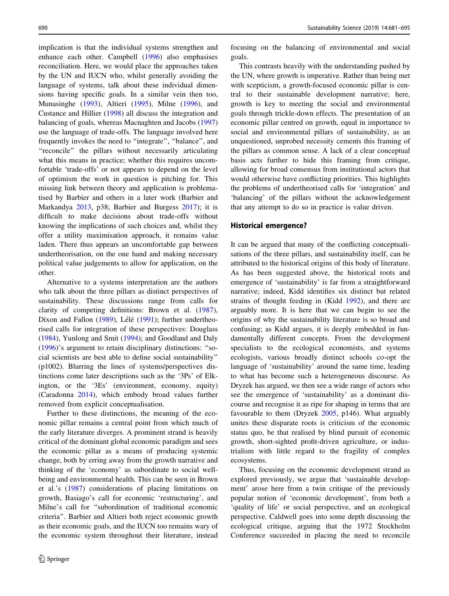implication is that the individual systems strengthen and enhance each other. Campbell ([1996\)](#page-12-0) also emphasises reconciliation. Here, we would place the approaches taken by the UN and IUCN who, whilst generally avoiding the language of systems, talk about these individual dimensions having specific goals. In a similar vein then too, Munasinghe ([1993\)](#page-13-0), Altieri [\(1995](#page-11-0)), Milne ([1996\)](#page-13-0), and Custance and Hillier [\(1998](#page-12-0)) all discuss the integration and balancing of goals, whereas Macnaghten and Jacobs ([1997\)](#page-13-0) use the language of trade-offs. The language involved here frequently invokes the need to ''integrate'', ''balance'', and "reconcile" the pillars without necessarily articulating what this means in practice; whether this requires uncomfortable 'trade-offs' or not appears to depend on the level of optimism the work in question is pitching for. This missing link between theory and application is problematised by Barbier and others in a later work (Barbier and Markandya [2013](#page-11-0), p38; Barbier and Burgess [2017](#page-11-0)); it is difficult to make decisions about trade-offs without knowing the implications of such choices and, whilst they offer a utility maximisation approach, it remains value laden. There thus appears an uncomfortable gap between undertheorisation, on the one hand and making necessary political value judgements to allow for application, on the other.

Alternative to a systems interpretation are the authors who talk about the three pillars as distinct perspectives of sustainability. These discussions range from calls for clarity of competing definitions: Brown et al. [\(1987](#page-12-0)), Dixon and Fallon ([1989](#page-12-0)), Lélé ([1991\)](#page-13-0); further undertheorised calls for integration of these perspectives: Douglass [\(1984](#page-12-0)), Yunlong and Smit ([1994\)](#page-14-0); and Goodland and Daly [\(1996](#page-12-0))'s argument to retain disciplinary distinctions: ''social scientists are best able to define social sustainability'' (p1002). Blurring the lines of systems/perspectives distinctions come later descriptions such as the '3Ps' of Elkington, or the '3Es' (environment, economy, equity) (Caradonna [2014](#page-12-0)), which embody broad values further removed from explicit conceptualisation.

Further to these distinctions, the meaning of the economic pillar remains a central point from which much of the early literature diverges. A prominent strand is heavily critical of the dominant global economic paradigm and sees the economic pillar as a means of producing systemic change, both by erring away from the growth narrative and thinking of the 'economy' as subordinate to social wellbeing and environmental health. This can be seen in Brown et al.'s ([1987\)](#page-12-0) considerations of placing limitations on growth, Basiago's call for economic 'restructuring', and Milne's call for ''subordination of traditional economic criteria''. Barbier and Altieri both reject economic growth as their economic goals, and the IUCN too remains wary of the economic system throughout their literature, instead focusing on the balancing of environmental and social goals.

This contrasts heavily with the understanding pushed by the UN, where growth is imperative. Rather than being met with scepticism, a growth-focused economic pillar is central to their sustainable development narrative; here, growth is key to meeting the social and environmental goals through trickle-down effects. The presentation of an economic pillar centred on growth, equal in importance to social and environmental pillars of sustainability, as an unquestioned, unprobed necessity cements this framing of the pillars as common sense. A lack of a clear conceptual basis acts further to hide this framing from critique, allowing for broad consensus from institutional actors that would otherwise have conflicting priorities. This highlights the problems of undertheorised calls for 'integration' and 'balancing' of the pillars without the acknowledgement that any attempt to do so in practice is value driven.

#### Historical emergence?

It can be argued that many of the conflicting conceptualisations of the three pillars, and sustainability itself, can be attributed to the historical origins of this body of literature. As has been suggested above, the historical roots and emergence of 'sustainability' is far from a straightforward narrative; indeed, Kidd identifies six distinct but related strains of thought feeding in (Kidd [1992](#page-13-0)), and there are arguably more. It is here that we can begin to see the origins of why the sustainability literature is so broad and confusing; as Kidd argues, it is deeply embedded in fundamentally different concepts. From the development specialists to the ecological economists, and systems ecologists, various broadly distinct schools co-opt the language of 'sustainability' around the same time, leading to what has become such a heterogeneous discourse. As Dryzek has argued, we then see a wide range of actors who see the emergence of 'sustainability' as a dominant discourse and recognise it as ripe for shaping in terms that are favourable to them (Dryzek [2005,](#page-12-0) p146). What arguably unites these disparate roots is criticism of the economic status quo, be that realised by blind pursuit of economic growth, short-sighted profit-driven agriculture, or industrialism with little regard to the fragility of complex ecosystems.

Thus, focusing on the economic development strand as explored previously, we argue that 'sustainable development' arose here from a twin critique of the previously popular notion of 'economic development', from both a 'quality of life' or social perspective, and an ecological perspective. Caldwell goes into some depth discussing the ecological critique, arguing that the 1972 Stockholm Conference succeeded in placing the need to reconcile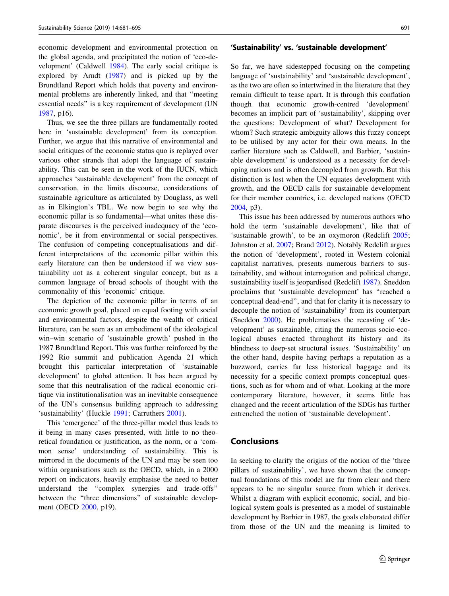economic development and environmental protection on the global agenda, and precipitated the notion of 'eco-development' (Caldwell [1984\)](#page-12-0). The early social critique is explored by Arndt ([1987\)](#page-11-0) and is picked up by the Brundtland Report which holds that poverty and environmental problems are inherently linked, and that ''meeting essential needs'' is a key requirement of development (UN [1987,](#page-14-0) p16).

Thus, we see the three pillars are fundamentally rooted here in 'sustainable development' from its conception. Further, we argue that this narrative of environmental and social critiques of the economic status quo is replayed over various other strands that adopt the language of sustainability. This can be seen in the work of the IUCN, which approaches 'sustainable development' from the concept of conservation, in the limits discourse, considerations of sustainable agriculture as articulated by Douglass, as well as in Elkington's TBL. We now begin to see why the economic pillar is so fundamental—what unites these disparate discourses is the perceived inadequacy of the 'economic', be it from environmental or social perspectives. The confusion of competing conceptualisations and different interpretations of the economic pillar within this early literature can then be understood if we view sustainability not as a coherent singular concept, but as a common language of broad schools of thought with the commonality of this 'economic' critique.

The depiction of the economic pillar in terms of an economic growth goal, placed on equal footing with social and environmental factors, despite the wealth of critical literature, can be seen as an embodiment of the ideological win–win scenario of 'sustainable growth' pushed in the 1987 Brundtland Report. This was further reinforced by the 1992 Rio summit and publication Agenda 21 which brought this particular interpretation of 'sustainable development' to global attention. It has been argued by some that this neutralisation of the radical economic critique via institutionalisation was an inevitable consequence of the UN's consensus building approach to addressing 'sustainability' (Huckle [1991;](#page-12-0) Carruthers [2001\)](#page-12-0).

This 'emergence' of the three-pillar model thus leads to it being in many cases presented, with little to no theoretical foundation or justification, as the norm, or a 'common sense' understanding of sustainability. This is mirrored in the documents of the UN and may be seen too within organisations such as the OECD, which, in a 2000 report on indicators, heavily emphasise the need to better understand the ''complex synergies and trade-offs'' between the ''three dimensions'' of sustainable development (OECD [2000](#page-13-0), p19).

#### 'Sustainability' vs. 'sustainable development'

So far, we have sidestepped focusing on the competing language of 'sustainability' and 'sustainable development', as the two are often so intertwined in the literature that they remain difficult to tease apart. It is through this conflation though that economic growth-centred 'development' becomes an implicit part of 'sustainability', skipping over the questions: Development of what? Development for whom? Such strategic ambiguity allows this fuzzy concept to be utilised by any actor for their own means. In the earlier literature such as Caldwell, and Barbier, 'sustainable development' is understood as a necessity for developing nations and is often decoupled from growth. But this distinction is lost when the UN equates development with growth, and the OECD calls for sustainable development for their member countries, i.e. developed nations (OECD [2004](#page-13-0), p3).

This issue has been addressed by numerous authors who hold the term 'sustainable development', like that of 'sustainable growth', to be an oxymoron (Redclift [2005](#page-13-0); Johnston et al. [2007;](#page-13-0) Brand [2012\)](#page-12-0). Notably Redclift argues the notion of 'development', rooted in Western colonial capitalist narratives, presents numerous barriers to sustainability, and without interrogation and political change, sustainability itself is jeopardised (Redclift [1987\)](#page-13-0). Sneddon proclaims that 'sustainable development' has ''reached a conceptual dead-end'', and that for clarity it is necessary to decouple the notion of 'sustainability' from its counterpart (Sneddon [2000](#page-13-0)). He problematises the recasting of 'development' as sustainable, citing the numerous socio-ecological abuses enacted throughout its history and its blindness to deep-set structural issues. 'Sustainability' on the other hand, despite having perhaps a reputation as a buzzword, carries far less historical baggage and its necessity for a specific context prompts conceptual questions, such as for whom and of what. Looking at the more contemporary literature, however, it seems little has changed and the recent articulation of the SDGs has further entrenched the notion of 'sustainable development'.

## Conclusions

In seeking to clarify the origins of the notion of the 'three pillars of sustainability', we have shown that the conceptual foundations of this model are far from clear and there appears to be no singular source from which it derives. Whilst a diagram with explicit economic, social, and biological system goals is presented as a model of sustainable development by Barbier in 1987, the goals elaborated differ from those of the UN and the meaning is limited to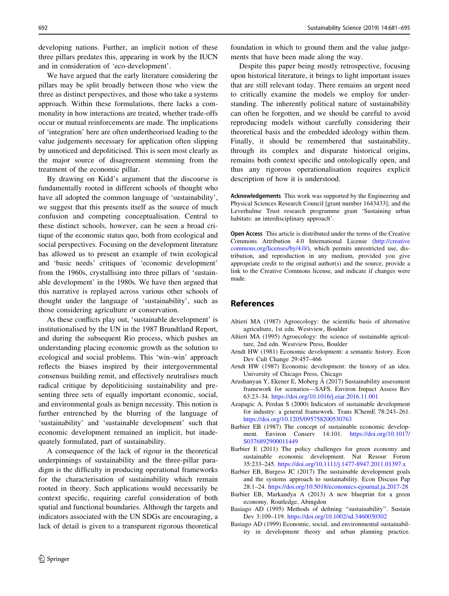<span id="page-11-0"></span>developing nations. Further, an implicit notion of these three pillars predates this, appearing in work by the IUCN and in consideration of 'eco-development'.

We have argued that the early literature considering the pillars may be split broadly between those who view the three as distinct perspectives, and those who take a systems approach. Within these formulations, there lacks a commonality in how interactions are treated, whether trade-offs occur or mutual reinforcements are made. The implications of 'integration' here are often undertheorised leading to the value judgements necessary for application often slipping by unnoticed and depoliticised. This is seen most clearly as the major source of disagreement stemming from the treatment of the economic pillar.

By drawing on Kidd's argument that the discourse is fundamentally rooted in different schools of thought who have all adopted the common language of 'sustainability', we suggest that this presents itself as the source of much confusion and competing conceptualisation. Central to these distinct schools, however, can be seen a broad critique of the economic status quo, both from ecological and social perspectives. Focusing on the development literature has allowed us to present an example of twin ecological and 'basic needs' critiques of 'economic development' from the 1960s, crystallising into three pillars of 'sustainable development' in the 1980s. We have then argued that this narrative is replayed across various other schools of thought under the language of 'sustainability', such as those considering agriculture or conservation.

As these conflicts play out, 'sustainable development' is institutionalised by the UN in the 1987 Brundtland Report, and during the subsequent Rio process, which pushes an understanding placing economic growth as the solution to ecological and social problems. This 'win–win' approach reflects the biases inspired by their intergovernmental consensus building remit, and effectively neutralises much radical critique by depoliticising sustainability and presenting three sets of equally important economic, social, and environmental goals as benign necessity. This notion is further entrenched by the blurring of the language of 'sustainability' and 'sustainable development' such that economic development remained an implicit, but inadequately formulated, part of sustainability.

A consequence of the lack of rigour in the theoretical underpinnings of sustainability and the three-pillar paradigm is the difficulty in producing operational frameworks for the characterisation of sustainability which remain rooted in theory. Such applications would necessarily be context specific, requiring careful consideration of both spatial and functional boundaries. Although the targets and indicators associated with the UN SDGs are encouraging, a lack of detail is given to a transparent rigorous theoretical foundation in which to ground them and the value judgements that have been made along the way.

Despite this paper being mostly retrospective, focusing upon historical literature, it brings to light important issues that are still relevant today. There remains an urgent need to critically examine the models we employ for understanding. The inherently political nature of sustainability can often be forgotten, and we should be careful to avoid reproducing models without carefully considering their theoretical basis and the embedded ideology within them. Finally, it should be remembered that sustainability, through its complex and disparate historical origins, remains both context specific and ontologically open, and thus any rigorous operationalisation requires explicit description of how it is understood.

Acknowledgements This work was supported by the Engineering and Physical Sciences Research Council [grant number 1643433]; and the Leverhulme Trust research programme grant 'Sustaining urban habitats: an interdisciplinary approach'.

Open Access This article is distributed under the terms of the Creative Commons Attribution 4.0 International License ([http://creative](http://creativecommons.org/licenses/by/4.0/) [commons.org/licenses/by/4.0/](http://creativecommons.org/licenses/by/4.0/)), which permits unrestricted use, distribution, and reproduction in any medium, provided you give appropriate credit to the original author(s) and the source, provide a link to the Creative Commons license, and indicate if changes were made.

# References

- Altieri MA (1987) Agroecology: the scientific basis of alternative agriculture, 1st edn. Westview, Boulder
- Altieri MA (1995) Agroecology: the science of sustainable agriculture, 2nd edn. Westview Press, Boulder
- Arndt HW (1981) Economic development: a semantic history. Econ Dev Cult Change 29:457–466
- Arndt HW (1987) Economic development: the history of an idea. University of Chicago Press, Chicago
- Arushanyan Y, Ekener E, Moberg Å (2017) Sustainability assessment framework for scenarios—SAFS. Environ Impact Assess Rev 63:23–34. <https://doi.org/10.1016/j.eiar.2016.11.001>
- Azapagic A, Perdan S (2000) Indicators of sustainable development for industry: a general framework. Trans IChemE 78:243–261. <https://doi.org/10.1205/095758200530763>
- Barbier EB (1987) The concept of sustainable economic development. Environ Conserv 14:101. [https://doi.org/10.1017/](https://doi.org/10.1017/S0376892900011449) [S0376892900011449](https://doi.org/10.1017/S0376892900011449)
- Barbier E (2011) The policy challenges for green economy and sustainable economic development. Nat Resour Forum 35:233–245. <https://doi.org/10.1111/j.1477-8947.2011.01397.x>
- Barbier EB, Burgess JC (2017) The sustainable development goals and the systems approach to sustainability. Econ Discuss Pap 28:1–24. <https://doi.org/10.5018/economics-ejournal.ja.2017-28>
- Barbier EB, Markandya A (2013) A new blueprint for a green economy. Routledge, Abingdon
- Basiago AD (1995) Methods of defining ''sustainability''. Sustain Dev 3:109–119. <https://doi.org/10.1002/sd.3460030302>
- Basiago AD (1999) Economic, social, and environmental sustainability in development theory and urban planning practice.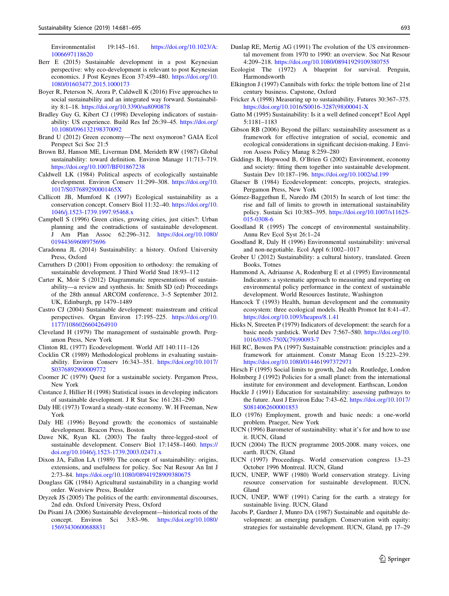<span id="page-12-0"></span>Environmentalist 19:145–161. [https://doi.org/10.1023/A:](https://doi.org/10.1023/A:1006697118620) [1006697118620](https://doi.org/10.1023/A:1006697118620)

- Berr E (2015) Sustainable development in a post Keynesian perspective: why eco-development is relevant to post Keynesian economics. J Post Keynes Econ 37:459–480. [https://doi.org/10.](https://doi.org/10.1080/01603477.2015.1000173) [1080/01603477.2015.1000173](https://doi.org/10.1080/01603477.2015.1000173)
- Boyer R, Peterson N, Arora P, Caldwell K (2016) Five approaches to social sustainability and an integrated way forward. Sustainability 8:1–18. <https://doi.org/10.3390/su8090878>
- Bradley Guy G, Kibert CJ (1998) Developing indicators of sustainability: US experience. Build Res Inf 26:39–45. [https://doi.org/](https://doi.org/10.1080/096132198370092) [10.1080/096132198370092](https://doi.org/10.1080/096132198370092)
- Brand U (2012) Green economy—The next oxymoron? GAIA Ecol Perspect Sci Soc 21:5
- Brown BJ, Hanson ME, Liverman DM, Merideth RW (1987) Global sustainability: toward definition. Environ Manage 11:713–719. <https://doi.org/10.1007/BF01867238>
- Caldwell LK (1984) Political aspects of ecologically sustainable development. Environ Conserv 11:299–308. [https://doi.org/10.](https://doi.org/10.1017/S037689290001465X) [1017/S037689290001465X](https://doi.org/10.1017/S037689290001465X)
- Callicott JB, Mumford K (1997) Ecological sustainability as a conservation concept. Conserv Biol 11:32–40. [https://doi.org/10.](https://doi.org/10.1046/j.1523-1739.1997.95468.x) [1046/j.1523-1739.1997.95468.x](https://doi.org/10.1046/j.1523-1739.1997.95468.x)
- Campbell S (1996) Green cities, growing cities, just cities?: Urban planning and the contradictions of sustainable development. J Am Plan Assoc 62:296–312. [https://doi.org/10.1080/](https://doi.org/10.1080/01944369608975696) [01944369608975696](https://doi.org/10.1080/01944369608975696)
- Caradonna JL (2014) Sustainability: a history. Oxford University Press, Oxford
- Carruthers D (2001) From opposition to orthodoxy: the remaking of sustainable development. J Third World Stud 18:93–112
- Carter K, Moir S (2012) Diagrammatic representations of sustainability—a review and synthesis. In: Smith SD (ed) Proceedings of the 28th annual ARCOM conference, 3–5 September 2012. UK, Edinburgh, pp 1479–1489
- Castro CJ (2004) Sustainable development: mainstream and critical perspectives. Organ Environ 17:195–225. [https://doi.org/10.](https://doi.org/10.1177/1086026604264910) [1177/1086026604264910](https://doi.org/10.1177/1086026604264910)
- Cleveland H (1979) The management of sustainable growth. Pergamon Press, New York
- Clinton RL (1977) Ecodevelopment. World Aff 140:111–126
- Cocklin CR (1989) Methodological problems in evaluating sustainability. Environ Conserv 16:343–351. [https://doi.org/10.1017/](https://doi.org/10.1017/S0376892900009772) [S0376892900009772](https://doi.org/10.1017/S0376892900009772)
- Coomer JC (1979) Quest for a sustainable society. Pergamon Press, New York
- Custance J, Hillier H (1998) Statistical issues in developing indicators of sustainable development. J R Stat Soc 161:281–290
- Daly HE (1973) Toward a steady-state economy. W. H Freeman, New York
- Daly HE (1996) Beyond growth: the economics of sustainable development. Beacon Press, Boston
- Dawe NK, Ryan KL (2003) The faulty three-legged-stool of sustainable development. Conserv Biol 17:1458–1460. [https://](https://doi.org/10.1046/j.1523-1739.2003.02471.x) [doi.org/10.1046/j.1523-1739.2003.02471.x](https://doi.org/10.1046/j.1523-1739.2003.02471.x)
- Dixon JA, Fallon LA (1989) The concept of sustainability: origins, extensions, and usefulness for policy. Soc Nat Resour An Int J 2:73–84. <https://doi.org/10.1080/08941928909380675>
- Douglass GK (1984) Agricultural sustainability in a changing world order. Westview Press, Boulder
- Dryzek JS (2005) The politics of the earth: environmental discourses, 2nd edn. Oxford University Press, Oxford
- Du Pisani JA (2006) Sustainable development—historical roots of the concept. Environ Sci 3:83–96. [https://doi.org/10.1080/](https://doi.org/10.1080/15693430600688831) [15693430600688831](https://doi.org/10.1080/15693430600688831)
- Dunlap RE, Mertig AG (1991) The evolution of the US environmental movement from 1970 to 1990: an overview. Soc Nat Resour 4:209–218. <https://doi.org/10.1080/08941929109380755>
- Ecologist The (1972) A blueprint for survival. Penguin, Harmondsworth
- Elkington J (1997) Cannibals with forks: the triple bottom line of 21st century business. Capstone, Oxford
- Fricker A (1998) Measuring up to sustainability. Futures 30:367–375. [https://doi.org/10.1016/S0016-3287\(98\)00041-X](https://doi.org/10.1016/S0016-3287(98)00041-X)
- Gatto M (1995) Sustainability: Is it a well defined concept? Ecol Appl 5:1181–1183
- Gibson RB (2006) Beyond the pillars: sustainability assessment as a framework for effective integration of social, economic and ecological considerations in significant decision-making. J Environ Assess Policy Manag 8:259–280
- Giddings B, Hopwood B, O'Brien G (2002) Environment, economy and society: fitting them together into sustainable development. Sustain Dev 10:187–196. <https://doi.org/10.1002/sd.199>
- Glaeser B (1984) Ecodevelopment: concepts, projects, strategies. Pergamon Press, New York
- Gómez-Baggethun E, Naredo JM (2015) In search of lost time: the rise and fall of limits to growth in international sustainability policy. Sustain Sci 10:385–395. [https://doi.org/10.1007/s11625-](https://doi.org/10.1007/s11625-015-0308-6) [015-0308-6](https://doi.org/10.1007/s11625-015-0308-6)
- Goodland R (1995) The concept of environmental sustainability. Annu Rev Ecol Syst 26:1–24
- Goodland R, Daly H (1996) Environmental sustainability: universal and non-negotiable. Ecol Appl 6:1002–1017
- Grober U (2012) Sustainability: a cultural history, translated. Green Books, Totnes
- Hammond A, Adriaanse A, Rodenburg E et al (1995) Environmental Indicators: a systematic approach to measuring and reporting on environmental policy performance in the context of sustainable development. World Resources Institute, Washington
- Hancock T (1993) Health, human development and the community ecosystem: three ecological models. Health Promot Int 8:41–47. <https://doi.org/10.1093/heapro/8.1.41>
- Hicks N, Streeten P (1979) Indicators of development: the search for a basic needs yardstick. World Dev 7:567–580. [https://doi.org/10.](https://doi.org/10.1016/0305-750X(79)90093-7) [1016/0305-750X\(79\)90093-7](https://doi.org/10.1016/0305-750X(79)90093-7)
- Hill RC, Bowen PA (1997) Sustainable construction: principles and a framework for attainment. Constr Manag Econ 15:223–239. <https://doi.org/10.1080/014461997372971>
- Hirsch F (1995) Social limits to growth, 2nd edn. Routledge, London
- Holmberg J (1992) Policies for a small planet: from the international institute for environment and development. Earthscan, London
- Huckle J (1991) Education for sustainability: assessing pathways to the future. Aust J Environ Educ 7:43–62. [https://doi.org/10.1017/](https://doi.org/10.1017/S0814062600001853) [S0814062600001853](https://doi.org/10.1017/S0814062600001853)
- ILO (1976) Employment, growth and basic needs: a one-world problem. Praeger, New York
- IUCN (1996) Barometer of sustainability: what it's for and how to use it. IUCN, Gland
- IUCN (2004) The IUCN programme 2005-2008. many voices, one earth. IUCN, Gland
- IUCN (1997) Proceedings. World conservation congress 13–23 October 1996 Montreal. IUCN, Gland
- IUCN, UNEP, WWF (1980) World conservation strategy. Living resource conservation for sustainable development. IUCN, Gland
- IUCN, UNEP, WWF (1991) Caring for the earth. a strategy for sustainable living. IUCN, Gland
- Jacobs P, Gardner J, Munro DA (1987) Sustainable and equitable development: an emerging paradigm. Conservation with equity: strategies for sustainable development. IUCN, Gland, pp 17–29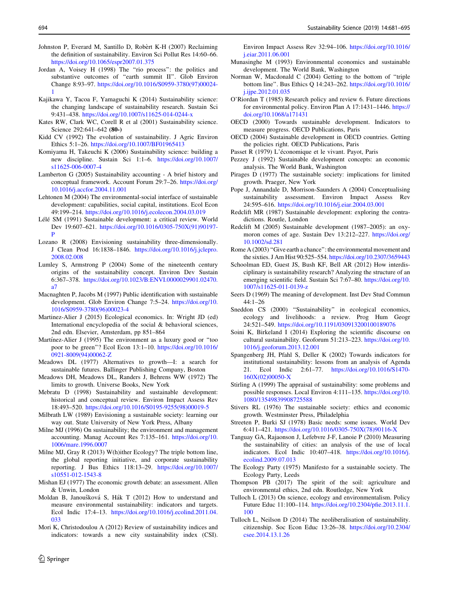- <span id="page-13-0"></span>Johnston P, Everard M, Santillo D, Robert K-H (2007) Reclaiming the definition of sustainability. Environ Sci Pollut Res 14:60–66. <https://doi.org/10.1065/espr2007.01.375>
- Jordan A, Voisey H (1998) The ''rio process'': the politics and substantive outcomes of "earth summit II". Glob Environ Change 8:93–97. [https://doi.org/10.1016/S0959-3780\(97\)00024-](https://doi.org/10.1016/S0959-3780(97)00024-1) [1](https://doi.org/10.1016/S0959-3780(97)00024-1)
- Kajikawa Y, Tacoa F, Yamaguchi K (2014) Sustainability science: the changing landscape of sustainability research. Sustain Sci 9:431–438. <https://doi.org/10.1007/s11625-014-0244-x>
- Kates RW, Clark WC, Corell R et al (2001) Sustainability science. Science 292:641–642 (80-)
- Kidd CV (1992) The evolution of sustainability. J Agric Environ Ethics 5:1–26. <https://doi.org/10.1007/BF01965413>
- Komiyama H, Takeuchi K (2006) Sustainability science: building a new discipline. Sustain Sci 1:1–6. [https://doi.org/10.1007/](https://doi.org/10.1007/s11625-006-0007-4) [s11625-006-0007-4](https://doi.org/10.1007/s11625-006-0007-4)
- Lamberton G (2005) Sustainability accounting A brief history and conceptual framework. Account Forum 29:7–26. [https://doi.org/](https://doi.org/10.1016/j.accfor.2004.11.001) [10.1016/j.accfor.2004.11.001](https://doi.org/10.1016/j.accfor.2004.11.001)
- Lehtonen M (2004) The environmental-social interface of sustainable development: capabilities, social capital, institutions. Ecol Econ 49:199–214. <https://doi.org/10.1016/j.ecolecon.2004.03.019>
- Lélé SM (1991) Sustainable development: a critical review. World Dev 19:607–621. [https://doi.org/10.1016/0305-750X\(91\)90197-](https://doi.org/10.1016/0305-750X(91)90197-P) [P](https://doi.org/10.1016/0305-750X(91)90197-P)
- Lozano R (2008) Envisioning sustainability three-dimensionally. J Clean Prod 16:1838–1846. [https://doi.org/10.1016/j.jclepro.](https://doi.org/10.1016/j.jclepro.2008.02.008) [2008.02.008](https://doi.org/10.1016/j.jclepro.2008.02.008)
- Lumley S, Armstrong P (2004) Some of the nineteenth century origins of the sustainability concept. Environ Dev Sustain 6:367–378. [https://doi.org/10.1023/B:ENVI.0000029901.02470.](https://doi.org/10.1023/B:ENVI.0000029901.02470.a7) [a7](https://doi.org/10.1023/B:ENVI.0000029901.02470.a7)
- Macnaghten P, Jacobs M (1997) Public identification with sustainable development. Glob Environ Change 7:5–24. [https://doi.org/10.](https://doi.org/10.1016/S0959-3780(96)00023-4) [1016/S0959-3780\(96\)00023-4](https://doi.org/10.1016/S0959-3780(96)00023-4)
- Martinez-Alier J (2015) Ecological economics. In: Wright JD (ed) International encyclopedia of the social & behavioral sciences, 2nd edn. Elsevier, Amsterdam, pp 851–864
- Martínez-Alier J (1995) The environment as a luxury good or "too poor to be green''? Ecol Econ 13:1–10. [https://doi.org/10.1016/](https://doi.org/10.1016/0921-8009(94)00062-Z) [0921-8009\(94\)00062-Z](https://doi.org/10.1016/0921-8009(94)00062-Z)
- Meadows DL (1977) Alternatives to growth—I: a search for sustainable futures. Ballinger Publishing Company, Boston
- Meadows DH, Meadows DL, Randers J, Behrens WW (1972) The limits to growth. Universe Books, New York
- Mebratu D (1998) Sustainability and sustainable development: historical and conceptual review. Environ Impact Assess Rev 18:493–520. [https://doi.org/10.1016/S0195-9255\(98\)00019-5](https://doi.org/10.1016/S0195-9255(98)00019-5)
- Milbrath LW (1989) Envisioning a sustainable society: learning our way out. State University of New York Press, Albany
- Milne MJ (1996) On sustainability; the environment and management accounting. Manag Account Res 7:135–161. [https://doi.org/10.](https://doi.org/10.1006/mare.1996.0007) [1006/mare.1996.0007](https://doi.org/10.1006/mare.1996.0007)
- Milne MJ, Gray R (2013) W(h)ither Ecology? The triple bottom line, the global reporting initiative, and corporate sustainability reporting. J Bus Ethics 118:13–29. [https://doi.org/10.1007/](https://doi.org/10.1007/s10551-012-1543-8) [s10551-012-1543-8](https://doi.org/10.1007/s10551-012-1543-8)
- Mishan EJ (1977) The economic growth debate: an assessment. Allen & Unwin, London
- Moldan B, Janoušková S, Hák T (2012) How to understand and measure environmental sustainability: indicators and targets. Ecol Indic 17:4–13. [https://doi.org/10.1016/j.ecolind.2011.04.](https://doi.org/10.1016/j.ecolind.2011.04.033) [033](https://doi.org/10.1016/j.ecolind.2011.04.033)
- Mori K, Christodoulou A (2012) Review of sustainability indices and indicators: towards a new city sustainability index (CSI).

Environ Impact Assess Rev 32:94–106. [https://doi.org/10.1016/](https://doi.org/10.1016/j.eiar.2011.06.001) [j.eiar.2011.06.001](https://doi.org/10.1016/j.eiar.2011.06.001)

- Munasinghe M (1993) Environmental economics and sustainable development. The World Bank, Washington
- Norman W, Macdonald C (2004) Getting to the bottom of ''triple bottom line''. Bus Ethics Q 14:243–262. [https://doi.org/10.1016/](https://doi.org/10.1016/j.ijpe.2012.01.035) [j.ijpe.2012.01.035](https://doi.org/10.1016/j.ijpe.2012.01.035)
- O'Riordan T (1985) Research policy and review 6. Future directions for environmental policy. Environ Plan A 17:1431–1446. [https://](https://doi.org/10.1068/a171431) [doi.org/10.1068/a171431](https://doi.org/10.1068/a171431)
- OECD (2000) Towards sustainable development. Indicators to measure progress. OECD Publications, Paris
- OECD (2004) Sustainable development in OECD countries. Getting the policies right. OECD Publications, Paris
- Passet R (1979) L'économique et le vivant. Payot, Paris
- Pezzey J (1992) Sustainable development concepts: an economic analysis. The World Bank, Washington
- Pirages D (1977) The sustainable society: implications for limited growth. Praeger, New York
- Pope J, Annandale D, Morrison-Saunders A (2004) Conceptualising sustainability assessment. Environ Impact Assess Rev 24:595–616. <https://doi.org/10.1016/j.eiar.2004.03.001>
- Redclift MR (1987) Sustainable development: exploring the contradictions. Routle, London
- Redclift M (2005) Sustainable development (1987–2005): an oxymoron comes of age. Sustain Dev 13:212–227. [https://doi.org/](https://doi.org/10.1002/sd.281) [10.1002/sd.281](https://doi.org/10.1002/sd.281)
- Rome A (2003) ''Give earth a chance'': the environmental movement and the sixties. J Am Hist 90:525–554. <https://doi.org/10.2307/3659443>
- Schoolman ED, Guest JS, Bush KF, Bell AR (2012) How interdisciplinary is sustainability research? Analyzing the structure of an emerging scientific field. Sustain Sci 7:67–80. [https://doi.org/10.](https://doi.org/10.1007/s11625-011-0139-z) [1007/s11625-011-0139-z](https://doi.org/10.1007/s11625-011-0139-z)
- Seers D (1969) The meaning of development. Inst Dev Stud Commun 44:1–26
- Sneddon CS (2000) "Sustainability" in ecological economics, ecology and livelihoods: a review. Prog Hum Geogr 24:521–549. <https://doi.org/10.1191/030913200100189076>
- Soini K, Birkeland I (2014) Exploring the scientific discourse on cultural sustainability. Geoforum 51:213–223. [https://doi.org/10.](https://doi.org/10.1016/j.geoforum.2013.12.001) [1016/j.geoforum.2013.12.001](https://doi.org/10.1016/j.geoforum.2013.12.001)
- Spangenberg JH, Pfahl S, Deller K (2002) Towards indicators for institutional sustainability: lessons from an analysis of Agenda 21. Ecol Indic 2:61–77. [https://doi.org/10.1016/S1470-](https://doi.org/10.1016/S1470-160X(02)00050-X) [160X\(02\)00050-X](https://doi.org/10.1016/S1470-160X(02)00050-X)
- Stirling A (1999) The appraisal of sustainability: some problems and possible responses. Local Environ 4:111–135. [https://doi.org/10.](https://doi.org/10.1080/13549839908725588) [1080/13549839908725588](https://doi.org/10.1080/13549839908725588)
- Stivers RL (1976) The sustainable society: ethics and economic growth. Westminster Press, Philadelphia
- Streeten P, Burki SJ (1978) Basic needs: some issues. World Dev 6:411–421. [https://doi.org/10.1016/0305-750X\(78\)90116-X](https://doi.org/10.1016/0305-750X(78)90116-X)
- Tanguay GA, Rajaonson J, Lefebvre J-F, Lanoie P (2010) Measuring the sustainability of cities: an analysis of the use of local indicators. Ecol Indic 10:407–418. [https://doi.org/10.1016/j.](https://doi.org/10.1016/j.ecolind.2009.07.013) [ecolind.2009.07.013](https://doi.org/10.1016/j.ecolind.2009.07.013)
- The Ecology Party (1975) Manifesto for a sustainable society. The Ecology Party, Leeds
- Thompson PB (2017) The spirit of the soil: agriculture and environmental ethics, 2nd edn. Routledge, New York
- Tulloch L (2013) On science, ecology and environmentalism. Policy Future Educ 11:100–114. [https://doi.org/10.2304/pfie.2013.11.1.](https://doi.org/10.2304/pfie.2013.11.1.100) [100](https://doi.org/10.2304/pfie.2013.11.1.100)
- Tulloch L, Neilson D (2014) The neoliberalisation of sustainability. citizenship. Soc Econ Educ 13:26–38. [https://doi.org/10.2304/](https://doi.org/10.2304/csee.2014.13.1.26) [csee.2014.13.1.26](https://doi.org/10.2304/csee.2014.13.1.26)